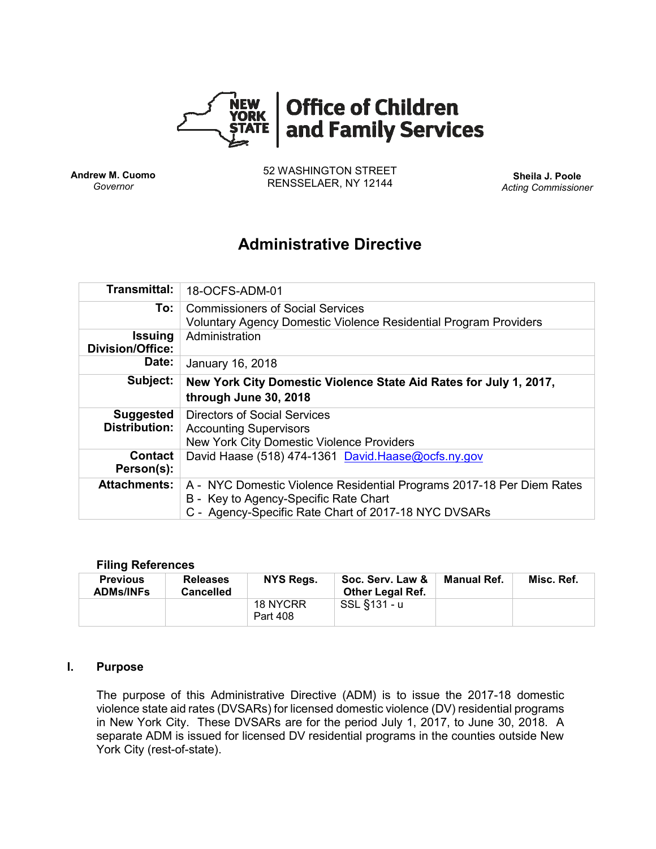

**Andrew M. Cuomo** *Governor*

52 WASHINGTON STREET RENSSELAER, NY 12144 **Sheila J. Poole**

*Acting Commissioner*

# **Administrative Directive**

| <b>Transmittal:</b>                       | 18-OCFS-ADM-01                                                                                                                                                         |
|-------------------------------------------|------------------------------------------------------------------------------------------------------------------------------------------------------------------------|
| To:                                       | <b>Commissioners of Social Services</b><br><b>Voluntary Agency Domestic Violence Residential Program Providers</b>                                                     |
| <b>Issuing</b><br><b>Division/Office:</b> | Administration                                                                                                                                                         |
| Date:                                     | January 16, 2018                                                                                                                                                       |
| Subject:                                  | New York City Domestic Violence State Aid Rates for July 1, 2017,<br>through June 30, 2018                                                                             |
| <b>Suggested</b><br><b>Distribution:</b>  | <b>Directors of Social Services</b><br><b>Accounting Supervisors</b><br>New York City Domestic Violence Providers                                                      |
| Contact<br>Person(s):                     | David Haase (518) 474-1361 David Haase@ocfs.ny.gov                                                                                                                     |
| <b>Attachments:</b>                       | A - NYC Domestic Violence Residential Programs 2017-18 Per Diem Rates<br>B - Key to Agency-Specific Rate Chart<br>C - Agency-Specific Rate Chart of 2017-18 NYC DVSARs |

#### **Filing References**

| <b>Previous</b><br><b>ADMs/INFs</b> | <b>Releases</b><br><b>Cancelled</b> | NYS Regs.            | Soc. Serv. Law &<br><b>Other Legal Ref.</b> | Manual Ref. | Misc. Ref. |
|-------------------------------------|-------------------------------------|----------------------|---------------------------------------------|-------------|------------|
|                                     |                                     | 18 NYCRR<br>Part 408 | SSL §131 - u                                |             |            |

#### **I. Purpose**

The purpose of this Administrative Directive (ADM) is to issue the 2017-18 domestic violence state aid rates (DVSARs) for licensed domestic violence (DV) residential programs in New York City. These DVSARs are for the period July 1, 2017, to June 30, 2018. A separate ADM is issued for licensed DV residential programs in the counties outside New York City (rest-of-state).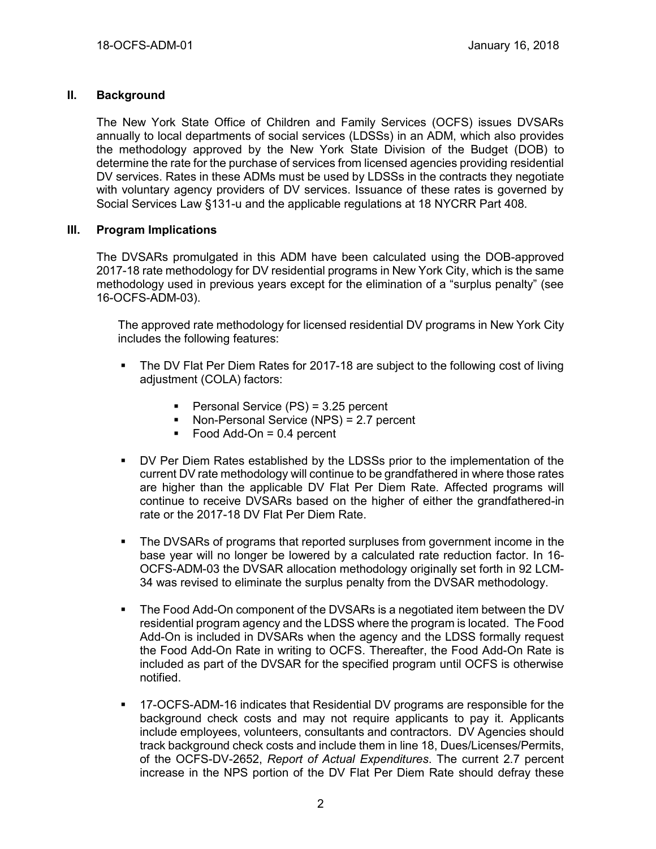## **II. Background**

The New York State Office of Children and Family Services (OCFS) issues DVSARs annually to local departments of social services (LDSSs) in an ADM, which also provides the methodology approved by the New York State Division of the Budget (DOB) to determine the rate for the purchase of services from licensed agencies providing residential DV services. Rates in these ADMs must be used by LDSSs in the contracts they negotiate with voluntary agency providers of DV services. Issuance of these rates is governed by Social Services Law §131-u and the applicable regulations at 18 NYCRR Part 408.

#### **III. Program Implications**

The DVSARs promulgated in this ADM have been calculated using the DOB-approved 2017-18 rate methodology for DV residential programs in New York City, which is the same methodology used in previous years except for the elimination of a "surplus penalty" (see 16-OCFS-ADM-03).

The approved rate methodology for licensed residential DV programs in New York City includes the following features:

- The DV Flat Per Diem Rates for 2017-18 are subject to the following cost of living adjustment (COLA) factors:
	- **Personal Service (PS) = 3.25 percent**
	- Non-Personal Service (NPS) = 2.7 percent
	- $\blacksquare$  Food Add-On = 0.4 percent
- DV Per Diem Rates established by the LDSSs prior to the implementation of the current DV rate methodology will continue to be grandfathered in where those rates are higher than the applicable DV Flat Per Diem Rate. Affected programs will continue to receive DVSARs based on the higher of either the grandfathered-in rate or the 2017-18 DV Flat Per Diem Rate.
- The DVSARs of programs that reported surpluses from government income in the base year will no longer be lowered by a calculated rate reduction factor. In 16- OCFS-ADM-03 the DVSAR allocation methodology originally set forth in 92 LCM-34 was revised to eliminate the surplus penalty from the DVSAR methodology.
- The Food Add-On component of the DVSARs is a negotiated item between the DV residential program agency and the LDSS where the program is located. The Food Add-On is included in DVSARs when the agency and the LDSS formally request the Food Add-On Rate in writing to OCFS. Thereafter, the Food Add-On Rate is included as part of the DVSAR for the specified program until OCFS is otherwise notified.
- 17-OCFS-ADM-16 indicates that Residential DV programs are responsible for the background check costs and may not require applicants to pay it. Applicants include employees, volunteers, consultants and contractors. DV Agencies should track background check costs and include them in line 18, Dues/Licenses/Permits, of the OCFS-DV-2652, *Report of Actual Expenditures*. The current 2.7 percent increase in the NPS portion of the DV Flat Per Diem Rate should defray these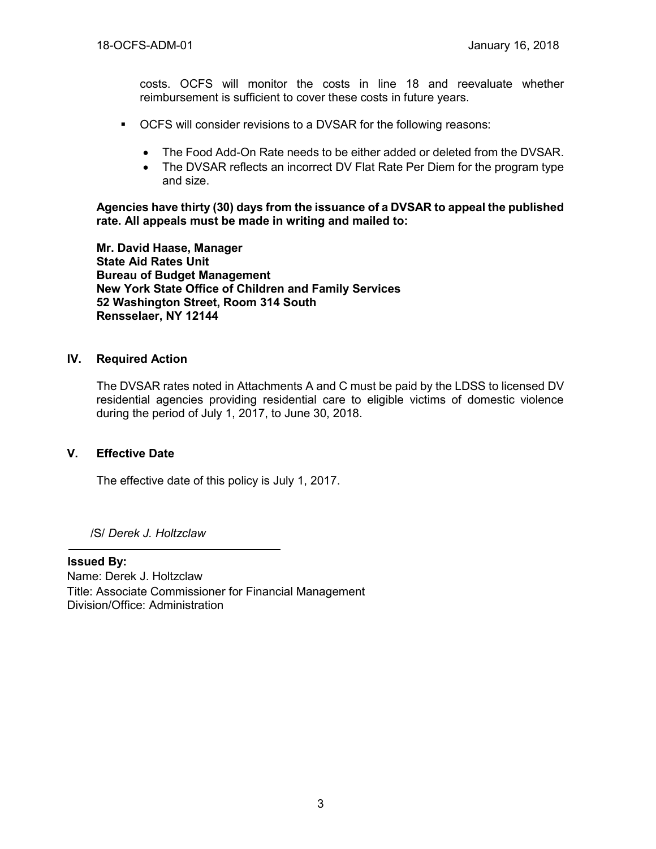costs. OCFS will monitor the costs in line 18 and reevaluate whether reimbursement is sufficient to cover these costs in future years.

- OCFS will consider revisions to a DVSAR for the following reasons:
	- The Food Add-On Rate needs to be either added or deleted from the DVSAR.
	- The DVSAR reflects an incorrect DV Flat Rate Per Diem for the program type and size.

**Agencies have thirty (30) days from the issuance of a DVSAR to appeal the published rate. All appeals must be made in writing and mailed to:**

**Mr. David Haase, Manager State Aid Rates Unit Bureau of Budget Management New York State Office of Children and Family Services 52 Washington Street, Room 314 South Rensselaer, NY 12144**

## **IV. Required Action**

The DVSAR rates noted in Attachments A and C must be paid by the LDSS to licensed DV residential agencies providing residential care to eligible victims of domestic violence during the period of July 1, 2017, to June 30, 2018.

## **V. Effective Date**

The effective date of this policy is July 1, 2017.

/S/ *Derek J. Holtzclaw*

**Issued By:** Name: Derek J. Holtzclaw Title: Associate Commissioner for Financial Management Division/Office: Administration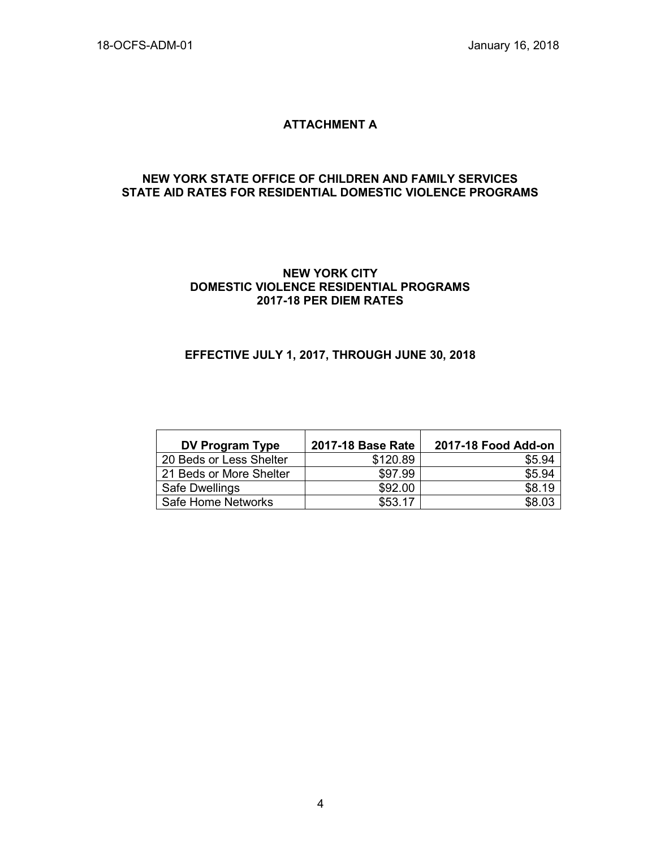## **ATTACHMENT A**

#### **NEW YORK STATE OFFICE OF CHILDREN AND FAMILY SERVICES STATE AID RATES FOR RESIDENTIAL DOMESTIC VIOLENCE PROGRAMS**

#### **NEW YORK CITY DOMESTIC VIOLENCE RESIDENTIAL PROGRAMS 2017-18 PER DIEM RATES**

## **EFFECTIVE JULY 1, 2017, THROUGH JUNE 30, 2018**

| <b>DV Program Type</b>  | 2017-18 Base Rate | 2017-18 Food Add-on |
|-------------------------|-------------------|---------------------|
| 20 Beds or Less Shelter | \$120.89          | \$5.94              |
| 21 Beds or More Shelter | \$97.99           | \$5.94              |
| Safe Dwellings          | \$92.00           | \$8.19              |
| Safe Home Networks      | \$53.17           | \$8.03              |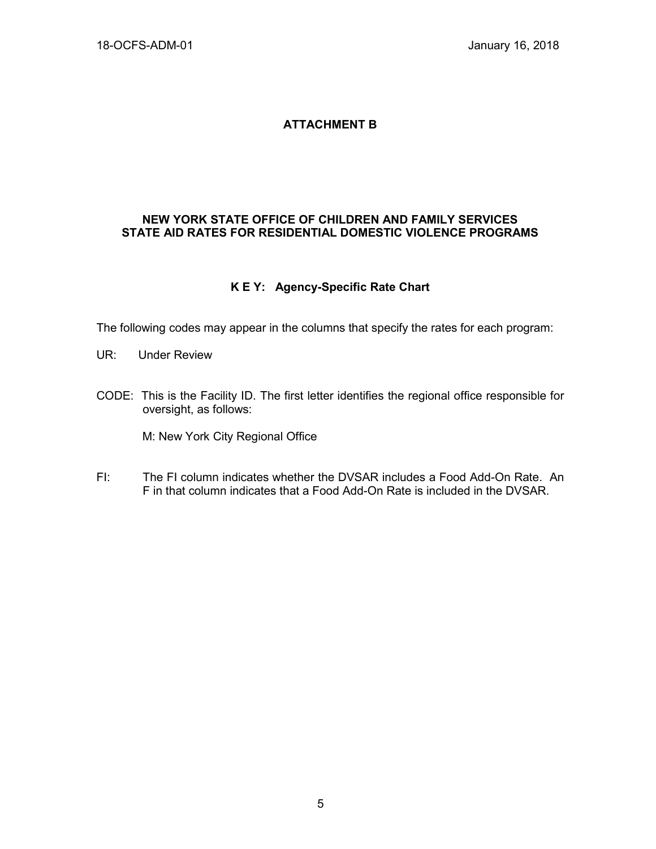# **ATTACHMENT B**

## **NEW YORK STATE OFFICE OF CHILDREN AND FAMILY SERVICES STATE AID RATES FOR RESIDENTIAL DOMESTIC VIOLENCE PROGRAMS**

## **K E Y: Agency-Specific Rate Chart**

The following codes may appear in the columns that specify the rates for each program:

- UR: Under Review
- CODE: This is the Facility ID. The first letter identifies the regional office responsible for oversight, as follows:

M: New York City Regional Office

FI: The FI column indicates whether the DVSAR includes a Food Add-On Rate. An F in that column indicates that a Food Add-On Rate is included in the DVSAR.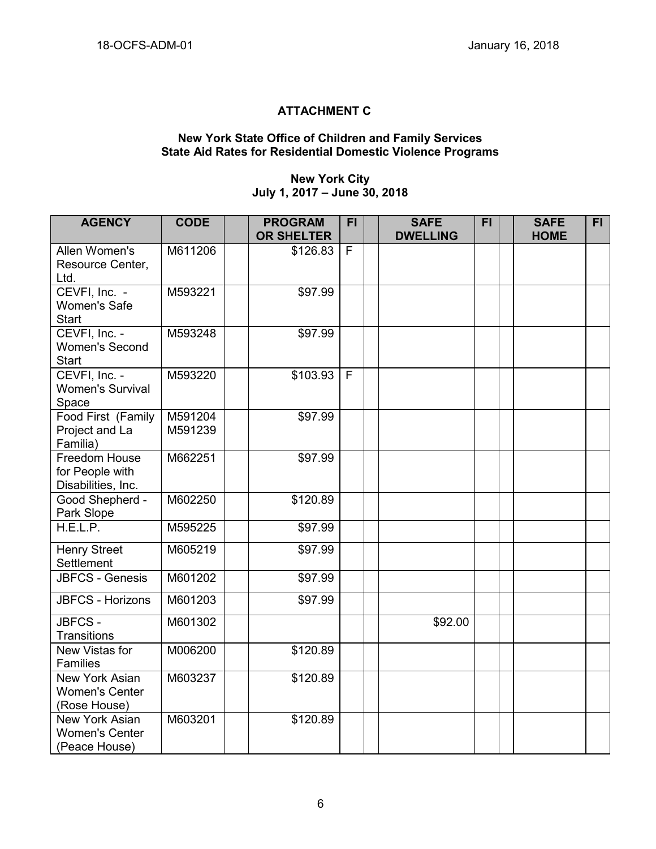# **ATTACHMENT C**

#### **New York State Office of Children and Family Services State Aid Rates for Residential Domestic Violence Programs**

#### **New York City July 1, 2017 – June 30, 2018**

| <b>AGENCY</b>                                            | <b>CODE</b>        | <b>PROGRAM</b><br><b>OR SHELTER</b> | FI. | <b>SAFE</b><br><b>DWELLING</b> | FI. | <b>SAFE</b><br><b>HOME</b> | FI. |
|----------------------------------------------------------|--------------------|-------------------------------------|-----|--------------------------------|-----|----------------------------|-----|
| Allen Women's<br>Resource Center,<br>Ltd.                | M611206            | \$126.83                            | F   |                                |     |                            |     |
| CEVFI, Inc. -<br><b>Women's Safe</b><br><b>Start</b>     | M593221            | \$97.99                             |     |                                |     |                            |     |
| CEVFI, Inc. -<br><b>Women's Second</b><br><b>Start</b>   | M593248            | \$97.99                             |     |                                |     |                            |     |
| CEVFI, Inc. -<br><b>Women's Survival</b><br>Space        | M593220            | \$103.93                            | F   |                                |     |                            |     |
| Food First (Family<br>Project and La<br>Familia)         | M591204<br>M591239 | \$97.99                             |     |                                |     |                            |     |
| Freedom House<br>for People with<br>Disabilities, Inc.   | M662251            | \$97.99                             |     |                                |     |                            |     |
| Good Shepherd -<br>Park Slope                            | M602250            | \$120.89                            |     |                                |     |                            |     |
| H.E.L.P.                                                 | M595225            | \$97.99                             |     |                                |     |                            |     |
| <b>Henry Street</b><br>Settlement                        | M605219            | \$97.99                             |     |                                |     |                            |     |
| <b>JBFCS - Genesis</b>                                   | M601202            | \$97.99                             |     |                                |     |                            |     |
| <b>JBFCS - Horizons</b>                                  | M601203            | \$97.99                             |     |                                |     |                            |     |
| JBFCS-<br><b>Transitions</b>                             | M601302            |                                     |     | \$92.00                        |     |                            |     |
| New Vistas for<br><b>Families</b>                        | M006200            | \$120.89                            |     |                                |     |                            |     |
| New York Asian<br><b>Women's Center</b><br>(Rose House)  | M603237            | \$120.89                            |     |                                |     |                            |     |
| New York Asian<br><b>Women's Center</b><br>(Peace House) | M603201            | \$120.89                            |     |                                |     |                            |     |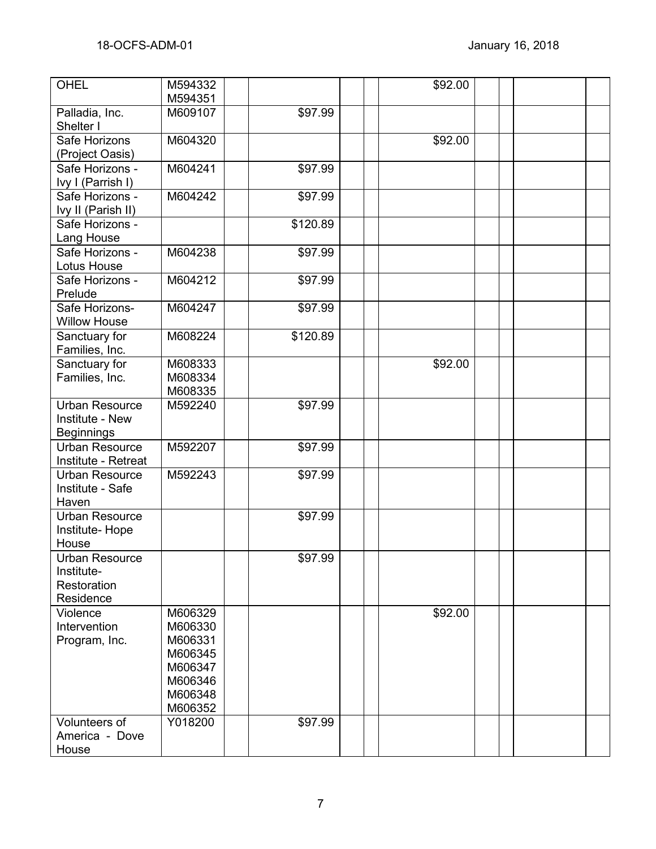| <b>OHEL</b>           | M594332 |          | \$92.00 |  |  |
|-----------------------|---------|----------|---------|--|--|
|                       | M594351 |          |         |  |  |
| Palladia, Inc.        | M609107 | \$97.99  |         |  |  |
| Shelter I             |         |          |         |  |  |
| Safe Horizons         | M604320 |          | \$92.00 |  |  |
| (Project Oasis)       |         |          |         |  |  |
| Safe Horizons -       | M604241 | \$97.99  |         |  |  |
| Ivy I (Parrish I)     |         |          |         |  |  |
| Safe Horizons -       | M604242 | \$97.99  |         |  |  |
| Ivy II (Parish II)    |         |          |         |  |  |
| Safe Horizons -       |         | \$120.89 |         |  |  |
| Lang House            |         |          |         |  |  |
| Safe Horizons -       | M604238 | \$97.99  |         |  |  |
| Lotus House           |         |          |         |  |  |
| Safe Horizons -       | M604212 | \$97.99  |         |  |  |
| Prelude               |         |          |         |  |  |
| Safe Horizons-        | M604247 | \$97.99  |         |  |  |
| <b>Willow House</b>   |         |          |         |  |  |
| Sanctuary for         | M608224 | \$120.89 |         |  |  |
| Families, Inc.        |         |          |         |  |  |
| Sanctuary for         | M608333 |          | \$92.00 |  |  |
| Families, Inc.        | M608334 |          |         |  |  |
|                       | M608335 |          |         |  |  |
| <b>Urban Resource</b> | M592240 | \$97.99  |         |  |  |
| Institute - New       |         |          |         |  |  |
| <b>Beginnings</b>     |         |          |         |  |  |
| <b>Urban Resource</b> | M592207 | \$97.99  |         |  |  |
| Institute - Retreat   |         |          |         |  |  |
| <b>Urban Resource</b> | M592243 | \$97.99  |         |  |  |
| Institute - Safe      |         |          |         |  |  |
| Haven                 |         |          |         |  |  |
| <b>Urban Resource</b> |         | \$97.99  |         |  |  |
| Institute-Hope        |         |          |         |  |  |
| House                 |         |          |         |  |  |
| Urban Resource        |         | \$97.99  |         |  |  |
| Institute-            |         |          |         |  |  |
| Restoration           |         |          |         |  |  |
| Residence             |         |          |         |  |  |
| Violence              | M606329 |          | \$92.00 |  |  |
| Intervention          | M606330 |          |         |  |  |
| Program, Inc.         | M606331 |          |         |  |  |
|                       | M606345 |          |         |  |  |
|                       | M606347 |          |         |  |  |
|                       | M606346 |          |         |  |  |
|                       | M606348 |          |         |  |  |
|                       | M606352 |          |         |  |  |
| Volunteers of         | Y018200 | \$97.99  |         |  |  |
| America - Dove        |         |          |         |  |  |
| House                 |         |          |         |  |  |